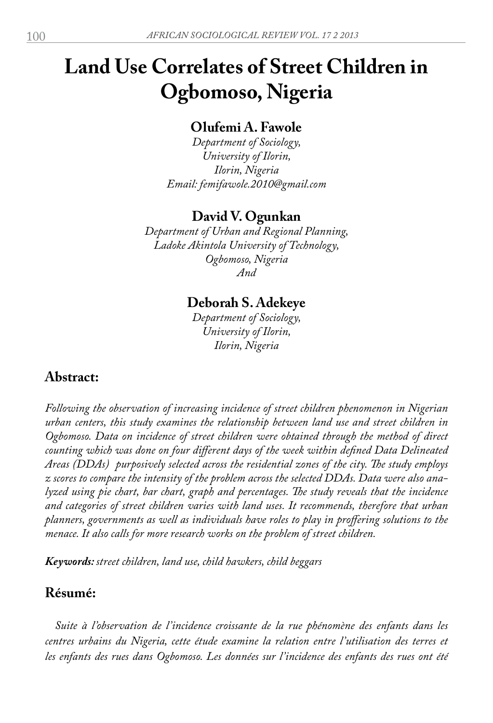# **Land Use Correlates of Street Children in Ogbomoso, Nigeria**

## **Olufemi A. Fawole**

*Department of Sociology, University of Ilorin, Ilorin, Nigeria Email: femifawole.2010@gmail.com*

## **David V. Ogunkan**

*Department of Urban and Regional Planning, Ladoke Akintola University of Technology, Ogbomoso, Nigeria And*

## **Deborah S. Adekeye**

*Department of Sociology, University of Ilorin, Ilorin, Nigeria*

## **Abstract:**

*Following the observation of increasing incidence of street children phenomenon in Nigerian urban centers, this study examines the relationship between land use and street children in Ogbomoso. Data on incidence of street children were obtained through the method of direct counting which was done on four different days of the week within defined Data Delineated Areas (DDAs) purposively selected across the residential zones of the city. The study employs z scores to compare the intensity of the problem across the selected DDAs. Data were also analyzed using pie chart, bar chart, graph and percentages. The study reveals that the incidence and categories of street children varies with land uses. It recommends, therefore that urban planners, governments as well as individuals have roles to play in proffering solutions to the menace. It also calls for more research works on the problem of street children.*

*Keywords: street children, land use, child hawkers, child beggars*

## **Résumé:**

*Suite à l'observation de l'incidence croissante de la rue phénomène des enfants dans les centres urbains du Nigeria, cette étude examine la relation entre l'utilisation des terres et les enfants des rues dans Ogbomoso. Les données sur l'incidence des enfants des rues ont été*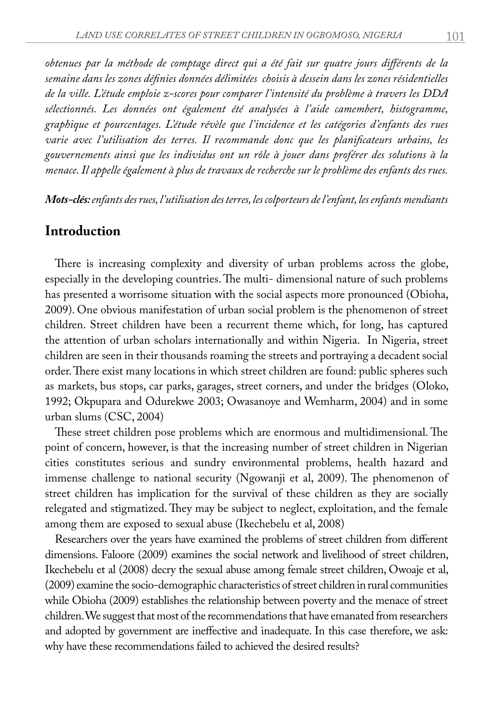*obtenues par la méthode de comptage direct qui a été fait sur quatre jours différents de la semaine dans les zones définies données délimitées choisis à dessein dans les zones résidentielles de la ville. L'étude emploie z-scores pour comparer l'intensité du problème à travers les DDA sélectionnés. Les données ont également été analysées à l'aide camembert, histogramme, graphique et pourcentages. L'étude révèle que l'incidence et les catégories d'enfants des rues varie avec l'utilisation des terres. Il recommande donc que les planificateurs urbains, les gouvernements ainsi que les individus ont un rôle à jouer dans proférer des solutions à la menace. Il appelle également à plus de travaux de recherche sur le problème des enfants des rues.* 

*Mots-clés: enfants des rues, l'utilisation des terres, les colporteurs de l'enfant, les enfants mendiants*

#### **Introduction**

There is increasing complexity and diversity of urban problems across the globe, especially in the developing countries. The multi- dimensional nature of such problems has presented a worrisome situation with the social aspects more pronounced (Obioha, 2009). One obvious manifestation of urban social problem is the phenomenon of street children. Street children have been a recurrent theme which, for long, has captured the attention of urban scholars internationally and within Nigeria. In Nigeria, street children are seen in their thousands roaming the streets and portraying a decadent social order. There exist many locations in which street children are found: public spheres such as markets, bus stops, car parks, garages, street corners, and under the bridges (Oloko, 1992; Okpupara and Odurekwe 2003; Owasanoye and Wemharm, 2004) and in some urban slums (CSC, 2004)

These street children pose problems which are enormous and multidimensional. The point of concern, however, is that the increasing number of street children in Nigerian cities constitutes serious and sundry environmental problems, health hazard and immense challenge to national security (Ngowanji et al, 2009). The phenomenon of street children has implication for the survival of these children as they are socially relegated and stigmatized. They may be subject to neglect, exploitation, and the female among them are exposed to sexual abuse (Ikechebelu et al, 2008)

Researchers over the years have examined the problems of street children from different dimensions. Faloore (2009) examines the social network and livelihood of street children, Ikechebelu et al (2008) decry the sexual abuse among female street children, Owoaje et al, (2009) examine the socio-demographic characteristics of street children in rural communities while Obioha (2009) establishes the relationship between poverty and the menace of street children. We suggest that most of the recommendations that have emanated from researchers and adopted by government are ineffective and inadequate. In this case therefore, we ask: why have these recommendations failed to achieved the desired results?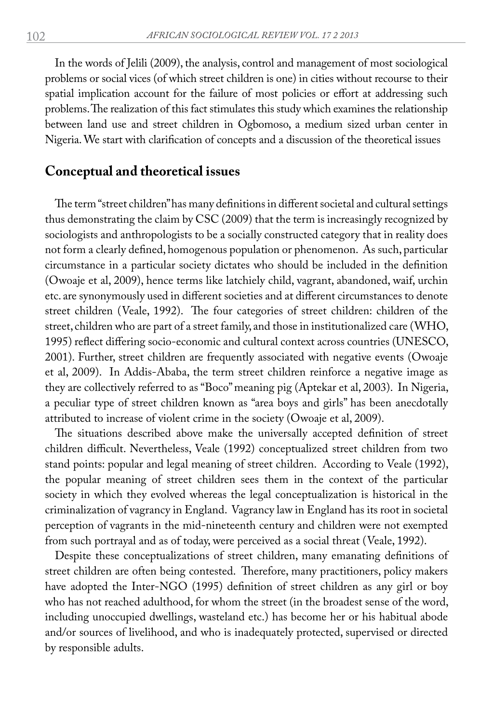In the words of Jelili (2009), the analysis, control and management of most sociological problems or social vices (of which street children is one) in cities without recourse to their spatial implication account for the failure of most policies or effort at addressing such problems. The realization of this fact stimulates this study which examines the relationship between land use and street children in Ogbomoso, a medium sized urban center in Nigeria. We start with clarification of concepts and a discussion of the theoretical issues

#### **Conceptual and theoretical issues**

The term "street children" has many definitions in different societal and cultural settings thus demonstrating the claim by CSC (2009) that the term is increasingly recognized by sociologists and anthropologists to be a socially constructed category that in reality does not form a clearly defined, homogenous population or phenomenon. As such, particular circumstance in a particular society dictates who should be included in the definition (Owoaje et al, 2009), hence terms like latchiely child, vagrant, abandoned, waif, urchin etc. are synonymously used in different societies and at different circumstances to denote street children (Veale, 1992). The four categories of street children: children of the street, children who are part of a street family, and those in institutionalized care (WHO, 1995) reflect differing socio-economic and cultural context across countries (UNESCO, 2001). Further, street children are frequently associated with negative events (Owoaje et al, 2009). In Addis-Ababa, the term street children reinforce a negative image as they are collectively referred to as "Boco" meaning pig (Aptekar et al, 2003). In Nigeria, a peculiar type of street children known as "area boys and girls" has been anecdotally attributed to increase of violent crime in the society (Owoaje et al, 2009).

The situations described above make the universally accepted definition of street children difficult. Nevertheless, Veale (1992) conceptualized street children from two stand points: popular and legal meaning of street children. According to Veale (1992), the popular meaning of street children sees them in the context of the particular society in which they evolved whereas the legal conceptualization is historical in the criminalization of vagrancy in England. Vagrancy law in England has its root in societal perception of vagrants in the mid-nineteenth century and children were not exempted from such portrayal and as of today, were perceived as a social threat (Veale, 1992).

Despite these conceptualizations of street children, many emanating definitions of street children are often being contested. Therefore, many practitioners, policy makers have adopted the Inter-NGO (1995) definition of street children as any girl or boy who has not reached adulthood, for whom the street (in the broadest sense of the word, including unoccupied dwellings, wasteland etc.) has become her or his habitual abode and/or sources of livelihood, and who is inadequately protected, supervised or directed by responsible adults.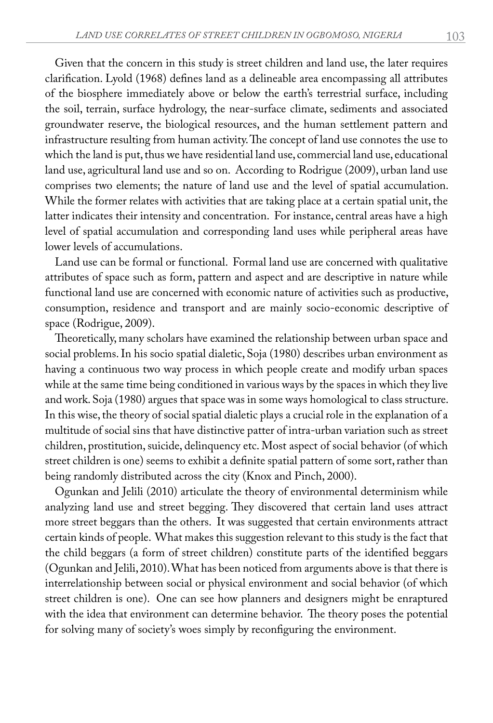Given that the concern in this study is street children and land use, the later requires clarification. Lyold (1968) defines land as a delineable area encompassing all attributes of the biosphere immediately above or below the earth's terrestrial surface, including the soil, terrain, surface hydrology, the near-surface climate, sediments and associated groundwater reserve, the biological resources, and the human settlement pattern and infrastructure resulting from human activity. The concept of land use connotes the use to which the land is put, thus we have residential land use, commercial land use, educational land use, agricultural land use and so on. According to Rodrigue (2009), urban land use comprises two elements; the nature of land use and the level of spatial accumulation. While the former relates with activities that are taking place at a certain spatial unit, the latter indicates their intensity and concentration. For instance, central areas have a high level of spatial accumulation and corresponding land uses while peripheral areas have lower levels of accumulations.

Land use can be formal or functional. Formal land use are concerned with qualitative attributes of space such as form, pattern and aspect and are descriptive in nature while functional land use are concerned with economic nature of activities such as productive, consumption, residence and transport and are mainly socio-economic descriptive of space (Rodrigue, 2009).

Theoretically, many scholars have examined the relationship between urban space and social problems. In his socio spatial dialetic, Soja (1980) describes urban environment as having a continuous two way process in which people create and modify urban spaces while at the same time being conditioned in various ways by the spaces in which they live and work. Soja (1980) argues that space was in some ways homological to class structure. In this wise, the theory of social spatial dialetic plays a crucial role in the explanation of a multitude of social sins that have distinctive patter of intra-urban variation such as street children, prostitution, suicide, delinquency etc. Most aspect of social behavior (of which street children is one) seems to exhibit a definite spatial pattern of some sort, rather than being randomly distributed across the city (Knox and Pinch, 2000).

Ogunkan and Jelili (2010) articulate the theory of environmental determinism while analyzing land use and street begging. They discovered that certain land uses attract more street beggars than the others. It was suggested that certain environments attract certain kinds of people. What makes this suggestion relevant to this study is the fact that the child beggars (a form of street children) constitute parts of the identified beggars (Ogunkan and Jelili, 2010). What has been noticed from arguments above is that there is interrelationship between social or physical environment and social behavior (of which street children is one). One can see how planners and designers might be enraptured with the idea that environment can determine behavior. The theory poses the potential for solving many of society's woes simply by reconfiguring the environment.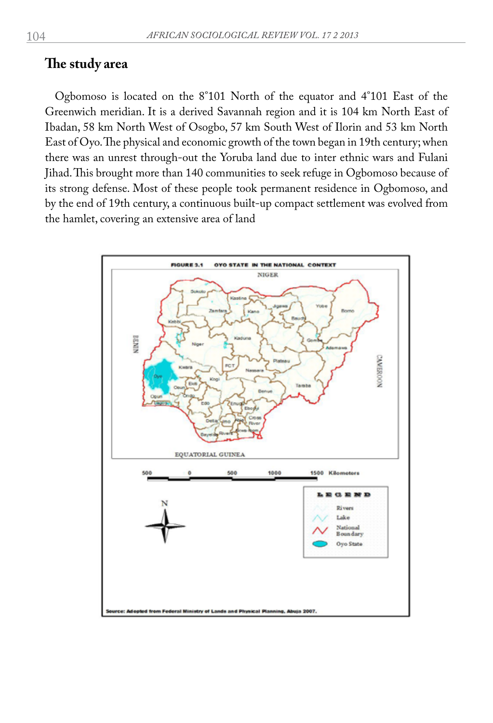#### **The study area**

Ogbomoso is located on the 8°101 North of the equator and 4°101 East of the Greenwich meridian. It is a derived Savannah region and it is 104 km North East of Ibadan, 58 km North West of Osogbo, 57 km South West of Ilorin and 53 km North East of Oyo. The physical and economic growth of the town began in 19th century; when there was an unrest through-out the Yoruba land due to inter ethnic wars and Fulani Jihad. This brought more than 140 communities to seek refuge in Ogbomoso because of its strong defense. Most of these people took permanent residence in Ogbomoso, and by the end of 19th century, a continuous built-up compact settlement was evolved from the hamlet, covering an extensive area of land

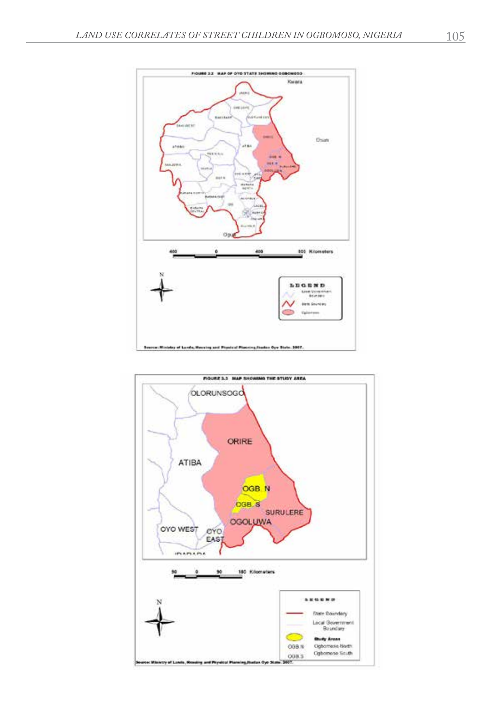

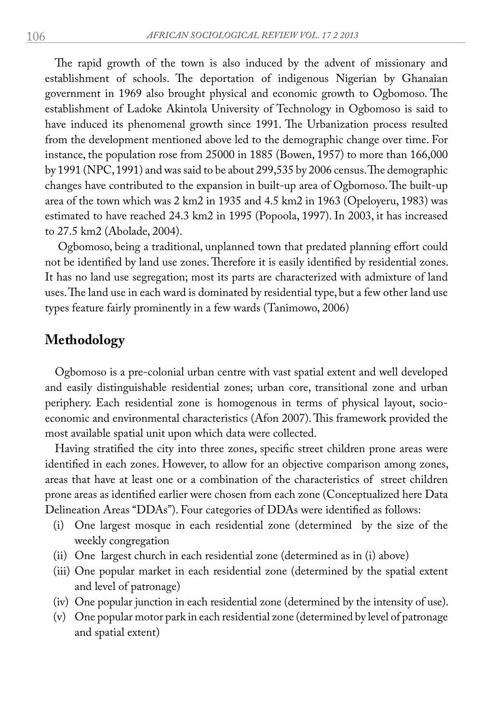The rapid growth of the town is also induced by the advent of missionary and establishment of schools. The deportation of indigenous Nigerian by Ghanaian government in 1969 also brought physical and economic growth to Ogbomoso. The establishment of Ladoke Akintola University of Technology in Ogbomoso is said to have induced its phenomenal growth since 1991. The Urbanization process resulted from the development mentioned above led to the demographic change over time. For instance, the population rose from 25000 in 1885 (Bowen, 1957) to more than 166,000 by 1991 (NPC, 1991) and was said to be about 299,535 by 2006 census. The demographic changes have contributed to the expansion in built-up area of Ogbomoso. The built-up area of the town which was 2 km2 in 1935 and 4.5 km2 in 1963 (Opeloyeru, 1983) was estimated to have reached 24.3 km2 in 1995 (Popoola, 1997). In 2003, it has increased to 27.5 km2 (Abolade, 2004).

 Ogbomoso, being a traditional, unplanned town that predated planning effort could not be identified by land use zones. Therefore it is easily identified by residential zones. It has no land use segregation; most its parts are characterized with admixture of land uses. The land use in each ward is dominated by residential type, but a few other land use types feature fairly prominently in a few wards (Tanimowo, 2006)

### **Methodology**

Ogbomoso is a pre-colonial urban centre with vast spatial extent and well developed and easily distinguishable residential zones; urban core, transitional zone and urban periphery. Each residential zone is homogenous in terms of physical layout, socioeconomic and environmental characteristics (Afon 2007). This framework provided the most available spatial unit upon which data were collected.

Having stratified the city into three zones, specific street children prone areas were identified in each zones. However, to allow for an objective comparison among zones, areas that have at least one or a combination of the characteristics of street children prone areas as identified earlier were chosen from each zone (Conceptualized here Data Delineation Areas "DDAs"). Four categories of DDAs were identified as follows:

- (i) One largest mosque in each residential zone (determined by the size of the weekly congregation
- (ii) One largest church in each residential zone (determined as in (i) above)
- (iii) One popular market in each residential zone (determined by the spatial extent and level of patronage)
- (iv) One popular junction in each residential zone (determined by the intensity of use).
- (v) One popular motor park in each residential zone (determined by level of patronage and spatial extent)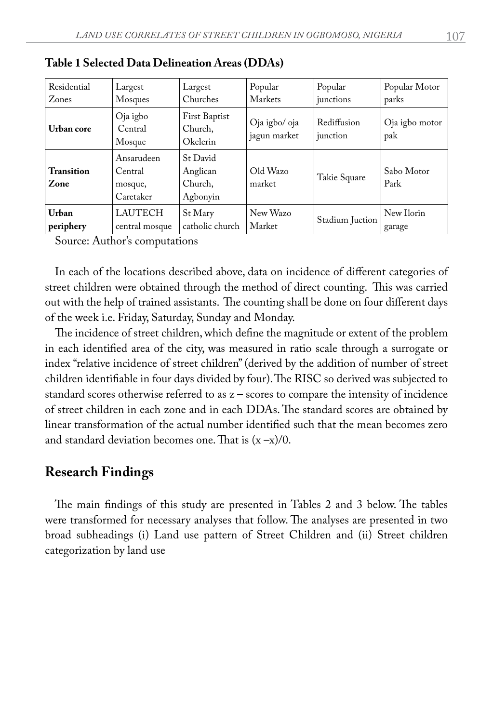| Residential        | Largest                                       | Largest                                     | Popular                       | Popular                 | Popular Motor         |
|--------------------|-----------------------------------------------|---------------------------------------------|-------------------------------|-------------------------|-----------------------|
| Zones              | Mosques                                       | Churches                                    | Markets                       | junctions               | parks                 |
| Urban core         | Oja igbo<br>Central<br>Mosque                 | First Baptist<br>Church,<br>Okelerin        | Oja igbo/ oja<br>jagun market | Rediffusion<br>junction | Oja igbo motor<br>pak |
| Transition<br>Zone | Ansarudeen<br>Central<br>mosque,<br>Caretaker | St David<br>Anglican<br>Church,<br>Agbonyin | Old Wazo<br>market            | Takie Square            | Sabo Motor<br>Park    |
| Urban              | <b>LAUTECH</b>                                | St Mary                                     | New Wazo                      | Stadium Juction         | New Ilorin            |
| periphery          | central mosque                                | catholic church                             | Market                        |                         | garage                |

|  |  |  |  | Table 1 Selected Data Delineation Areas (DDAs) |  |  |  |
|--|--|--|--|------------------------------------------------|--|--|--|
|  |  |  |  |                                                |  |  |  |

Source: Author's computations

In each of the locations described above, data on incidence of different categories of street children were obtained through the method of direct counting. This was carried out with the help of trained assistants. The counting shall be done on four different days of the week i.e. Friday, Saturday, Sunday and Monday.

The incidence of street children, which define the magnitude or extent of the problem in each identified area of the city, was measured in ratio scale through a surrogate or index "relative incidence of street children" (derived by the addition of number of street children identifiable in four days divided by four). The RISC so derived was subjected to standard scores otherwise referred to as z – scores to compare the intensity of incidence of street children in each zone and in each DDAs. The standard scores are obtained by linear transformation of the actual number identified such that the mean becomes zero and standard deviation becomes one. That is  $(x - x)/0$ .

#### **Research Findings**

The main findings of this study are presented in Tables 2 and 3 below. The tables were transformed for necessary analyses that follow. The analyses are presented in two broad subheadings (i) Land use pattern of Street Children and (ii) Street children categorization by land use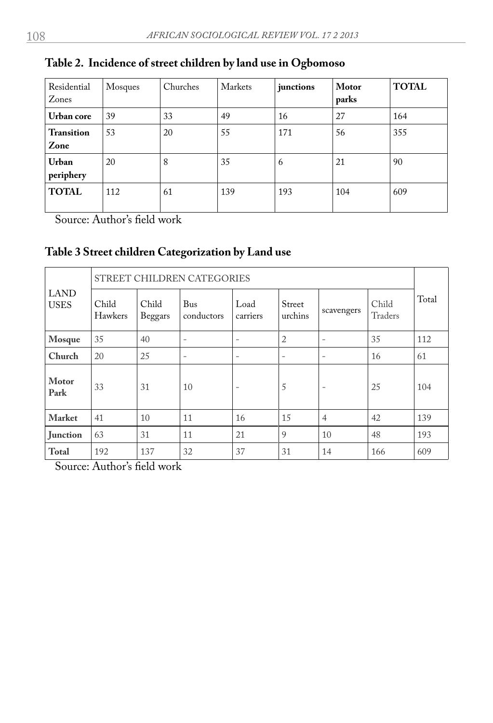| Residential<br>Zones      | Mosques | Churches | Markets | junctions | Motor<br>parks | <b>TOTAL</b> |
|---------------------------|---------|----------|---------|-----------|----------------|--------------|
| Urban core                | 39      | 33       | 49      | 16        | 27             | 164          |
| <b>Transition</b><br>Zone | 53      | 20       | 55      | 171       | 56             | 355          |
| Urban<br>periphery        | 20      | 8        | 35      | 6         | 21             | 90           |
| <b>TOTAL</b>              | 112     | 61       | 139     | 193       | 104            | 609          |

## **Table 2. Incidence of street children by land use in Ogbomoso**

Source: Author's field work

## **Table 3 Street children Categorization by Land use**

| LAND<br><b>USES</b> | STREET CHILDREN CATEGORIES |                  |                          |                          |                   |                          |                  |       |  |  |
|---------------------|----------------------------|------------------|--------------------------|--------------------------|-------------------|--------------------------|------------------|-------|--|--|
|                     | Child<br>Hawkers           | Child<br>Beggars | Bus<br>conductors        | Load<br>carriers         | Street<br>urchins | scavengers               | Child<br>Traders | Total |  |  |
| Mosque              | 35                         | 40               | $\overline{\phantom{0}}$ | $\overline{\phantom{0}}$ | $\overline{2}$    | $\overline{\phantom{0}}$ | 35               | 112   |  |  |
| Church              | 20                         | 25               | $\overline{\phantom{0}}$ | $\overline{\phantom{0}}$ | -                 | $\overline{\phantom{0}}$ | 16               | 61    |  |  |
| Motor<br>Park       | 33                         | 31               | 10                       | $\qquad \qquad -$        | 5                 | $\overline{\phantom{0}}$ | 25               | 104   |  |  |
| <b>Market</b>       | 41                         | 10               | 11                       | 16                       | 15                | $\overline{4}$           | 42               | 139   |  |  |
| <b>Iunction</b>     | 63                         | 31               | 11                       | 21                       | 9                 | 10                       | 48               | 193   |  |  |
| <b>Total</b>        | 192                        | 137              | 32                       | 37                       | 31                | 14                       | 166              | 609   |  |  |

Source: Author's field work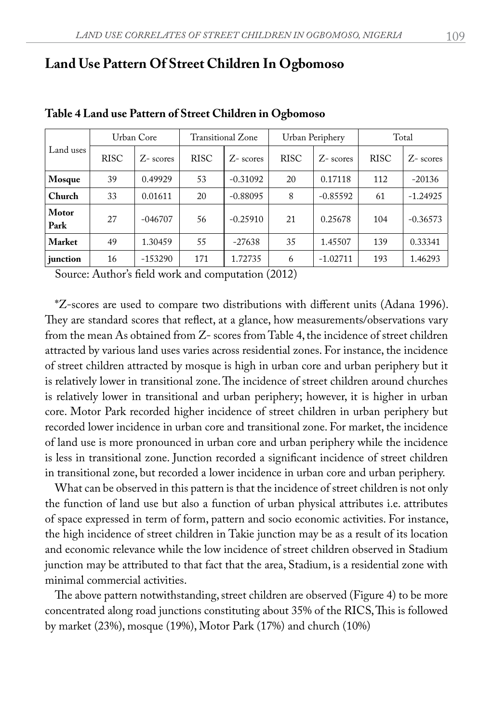## **Land Use Pattern Of Street Children In Ogbomoso**

| Land uses     | Urban Core  |              | Transitional Zone |             |             | Urban Periphery | Total       |             |
|---------------|-------------|--------------|-------------------|-------------|-------------|-----------------|-------------|-------------|
|               | <b>RISC</b> | $Z$ - scores | <b>RISC</b>       | $Z$ -scores | <b>RISC</b> | $Z$ -scores     | <b>RISC</b> | $Z$ -scores |
| Mosque        | 39          | 0.49929      | 53                | $-0.31092$  | 20          | 0.17118         | 112         | $-20136$    |
| Church        | 33          | 0.01611      | 20                | $-0.88095$  | 8           | $-0.85592$      | 61          | $-1.24925$  |
| Motor<br>Park | 27          | $-0.46707$   | 56                | $-0.25910$  | 21          | 0.25678         | 104         | $-0.36573$  |
| <b>Market</b> | 49          | 1.30459      | 55                | $-27638$    | 35          | 1.45507         | 139         | 0.33341     |
| junction      | 16          | $-153290$    | 171               | 1.72735     | 6           | $-1.02711$      | 193         | 1.46293     |

#### **Table 4 Land use Pattern of Street Children in Ogbomoso**

Source: Author's field work and computation (2012)

\*Z-scores are used to compare two distributions with different units (Adana 1996). They are standard scores that reflect, at a glance, how measurements/observations vary from the mean As obtained from Z- scores from Table 4, the incidence of street children attracted by various land uses varies across residential zones. For instance, the incidence of street children attracted by mosque is high in urban core and urban periphery but it is relatively lower in transitional zone. The incidence of street children around churches is relatively lower in transitional and urban periphery; however, it is higher in urban core. Motor Park recorded higher incidence of street children in urban periphery but recorded lower incidence in urban core and transitional zone. For market, the incidence of land use is more pronounced in urban core and urban periphery while the incidence is less in transitional zone. Junction recorded a significant incidence of street children in transitional zone, but recorded a lower incidence in urban core and urban periphery.

What can be observed in this pattern is that the incidence of street children is not only the function of land use but also a function of urban physical attributes i.e. attributes of space expressed in term of form, pattern and socio economic activities. For instance, the high incidence of street children in Takie junction may be as a result of its location and economic relevance while the low incidence of street children observed in Stadium junction may be attributed to that fact that the area, Stadium, is a residential zone with minimal commercial activities.

The above pattern notwithstanding, street children are observed (Figure 4) to be more concentrated along road junctions constituting about 35% of the RICS, This is followed by market (23%), mosque (19%), Motor Park (17%) and church (10%)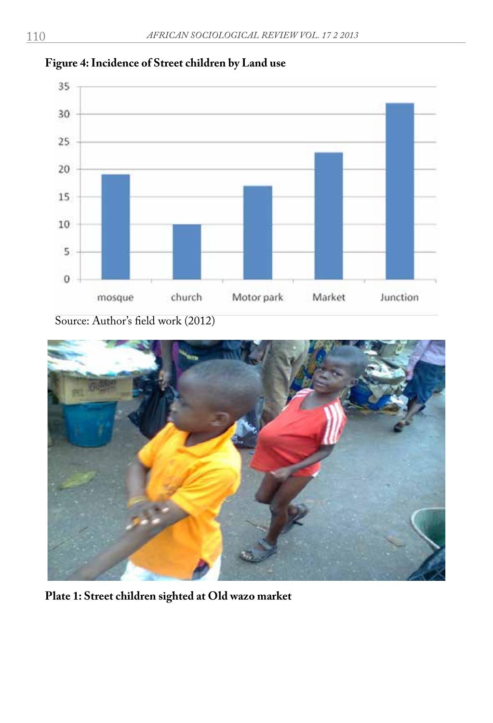

#### **Figure 4: Incidence of Street children by Land use**

Source: Author's field work (2012)



**Plate 1: Street children sighted at Old wazo market**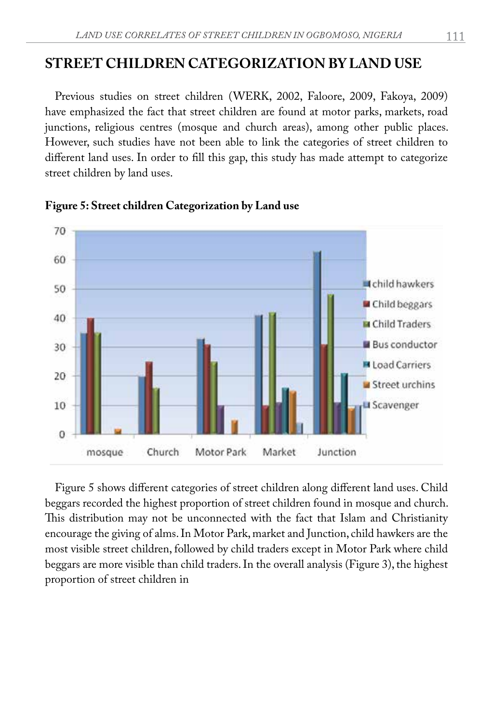## **STREET CHILDREN CATEGORIZATION BY LAND USE**

Previous studies on street children (WERK, 2002, Faloore, 2009, Fakoya, 2009) have emphasized the fact that street children are found at motor parks, markets, road junctions, religious centres (mosque and church areas), among other public places. However, such studies have not been able to link the categories of street children to different land uses. In order to fill this gap, this study has made attempt to categorize street children by land uses.



**Figure 5: Street children Categorization by Land use**

Figure 5 shows different categories of street children along different land uses. Child beggars recorded the highest proportion of street children found in mosque and church. This distribution may not be unconnected with the fact that Islam and Christianity encourage the giving of alms. In Motor Park, market and Junction, child hawkers are the most visible street children, followed by child traders except in Motor Park where child beggars are more visible than child traders. In the overall analysis (Figure 3), the highest proportion of street children in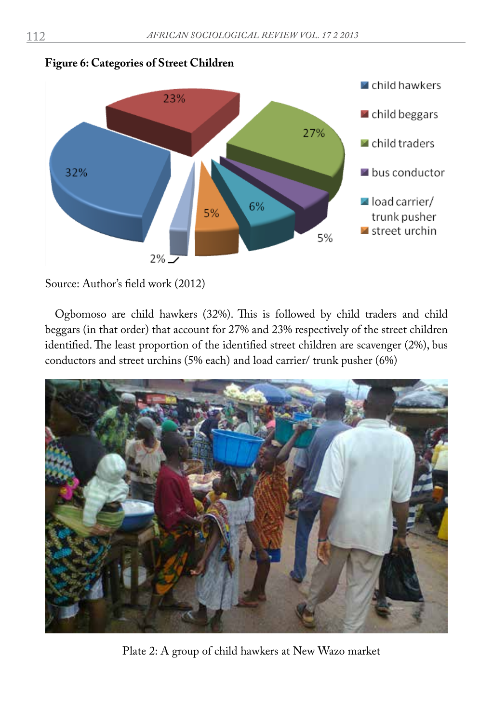

**Figure 6: Categories of Street Children**

Source: Author's field work (2012)

Ogbomoso are child hawkers (32%). This is followed by child traders and child beggars (in that order) that account for 27% and 23% respectively of the street children identified. The least proportion of the identified street children are scavenger (2%), bus conductors and street urchins (5% each) and load carrier/ trunk pusher (6%)



Plate 2: A group of child hawkers at New Wazo market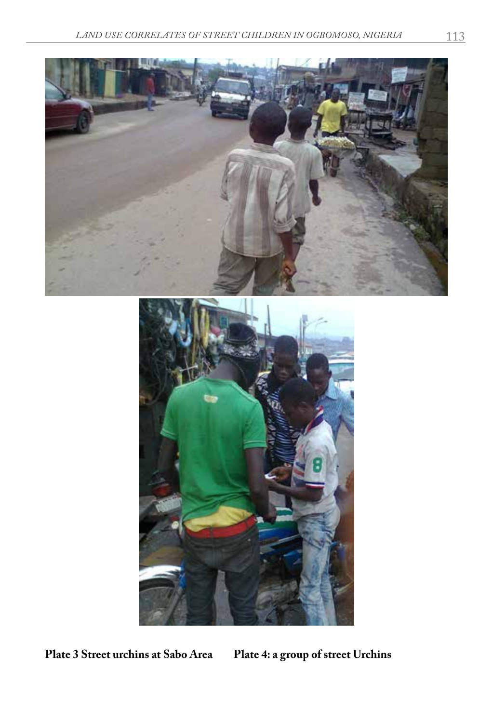



**Plate 3 Street urchins at Sabo Area Plate 4: a group of street Urchins**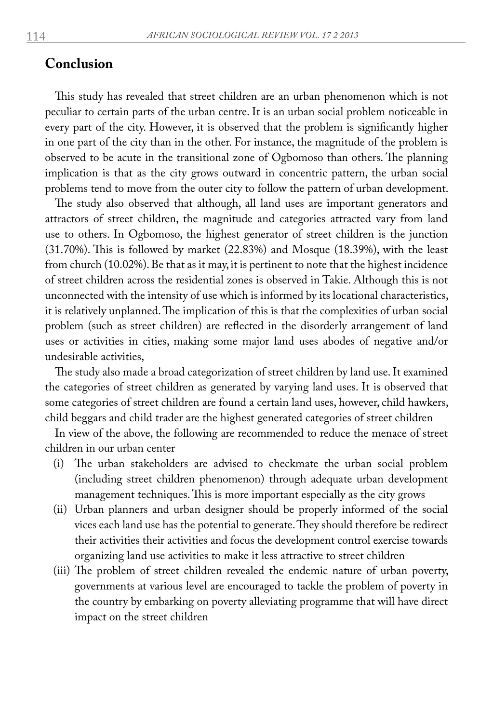#### **Conclusion**

This study has revealed that street children are an urban phenomenon which is not peculiar to certain parts of the urban centre. It is an urban social problem noticeable in every part of the city. However, it is observed that the problem is significantly higher in one part of the city than in the other. For instance, the magnitude of the problem is observed to be acute in the transitional zone of Ogbomoso than others. The planning implication is that as the city grows outward in concentric pattern, the urban social problems tend to move from the outer city to follow the pattern of urban development.

The study also observed that although, all land uses are important generators and attractors of street children, the magnitude and categories attracted vary from land use to others. In Ogbomoso, the highest generator of street children is the junction (31.70%). This is followed by market (22.83%) and Mosque (18.39%), with the least from church (10.02%). Be that as it may, it is pertinent to note that the highest incidence of street children across the residential zones is observed in Takie. Although this is not unconnected with the intensity of use which is informed by its locational characteristics, it is relatively unplanned. The implication of this is that the complexities of urban social problem (such as street children) are reflected in the disorderly arrangement of land uses or activities in cities, making some major land uses abodes of negative and/or undesirable activities,

The study also made a broad categorization of street children by land use. It examined the categories of street children as generated by varying land uses. It is observed that some categories of street children are found a certain land uses, however, child hawkers, child beggars and child trader are the highest generated categories of street children

In view of the above, the following are recommended to reduce the menace of street children in our urban center

- (i) The urban stakeholders are advised to checkmate the urban social problem (including street children phenomenon) through adequate urban development management techniques. This is more important especially as the city grows
- (ii) Urban planners and urban designer should be properly informed of the social vices each land use has the potential to generate. They should therefore be redirect their activities their activities and focus the development control exercise towards organizing land use activities to make it less attractive to street children
- (iii) The problem of street children revealed the endemic nature of urban poverty, governments at various level are encouraged to tackle the problem of poverty in the country by embarking on poverty alleviating programme that will have direct impact on the street children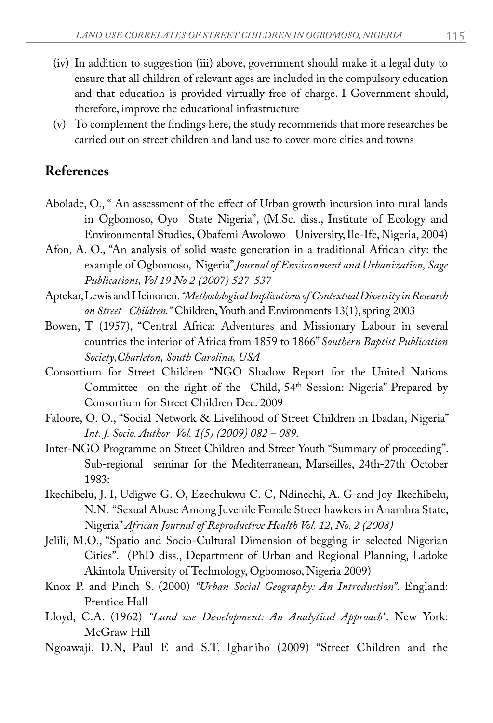- (iv) In addition to suggestion (iii) above, government should make it a legal duty to ensure that all children of relevant ages are included in the compulsory education and that education is provided virtually free of charge. I Government should, therefore, improve the educational infrastructure
- (v) To complement the findings here, the study recommends that more researches be carried out on street children and land use to cover more cities and towns

## **References**

- Abolade, O., " An assessment of the effect of Urban growth incursion into rural lands in Ogbomoso, Oyo State Nigeria", (M.Sc. diss., Institute of Ecology and Environmental Studies, Obafemi Awolowo University, Ile-Ife, Nigeria, 2004)
- Afon, A. O., "An analysis of solid waste generation in a traditional African city: the example of Ogbomoso, Nigeria" *Journal of Environment and Urbanization, Sage Publications, Vol 19 No 2 (2007) 527-537*
- Aptekar, Lewis and Heinonen. *"Methodological Implications of Contextual Diversity in Research on Street Children."* Children, Youth and Environments 13(1), spring 2003
- Bowen, T (1957), "Central Africa: Adventures and Missionary Labour in several countries the interior of Africa from 1859 to 1866" *Southern Baptist Publication Society,Charleton, South Carolina, USA*
- Consortium for Street Children "NGO Shadow Report for the United Nations Committee on the right of the Child, 54<sup>th</sup> Session: Nigeria" Prepared by Consortium for Street Children Dec. 2009
- Faloore, O. O., "Social Network & Livelihood of Street Children in Ibadan, Nigeria" *Int. J. Socio. Author Vol. 1(5) (2009) 082 – 089.*
- Inter-NGO Programme on Street Children and Street Youth "Summary of proceeding". Sub-regional seminar for the Mediterranean, Marseilles, 24th-27th October 1983:
- Ikechibelu, J. I, Udigwe G. O, Ezechukwu C. C, Ndinechi, A. G and Joy-Ikechibelu, N.N. "Sexual Abuse Among Juvenile Female Street hawkers in Anambra State, Nigeria" *African Journal of Reproductive Health Vol. 12, No. 2 (2008)*
- Jelili, M.O., "Spatio and Socio-Cultural Dimension of begging in selected Nigerian Cities". (PhD diss., Department of Urban and Regional Planning, Ladoke Akintola University of Technology, Ogbomoso, Nigeria 2009)
- Knox P. and Pinch S. (2000) *"Urban Social Geography: An Introduction"*. England: Prentice Hall
- Lloyd, C.A. (1962) *"Land use Development: An Analytical Approach"*. New York: McGraw Hill
- Ngoawaji, D.N, Paul E and S.T. Igbanibo (2009) "Street Children and the